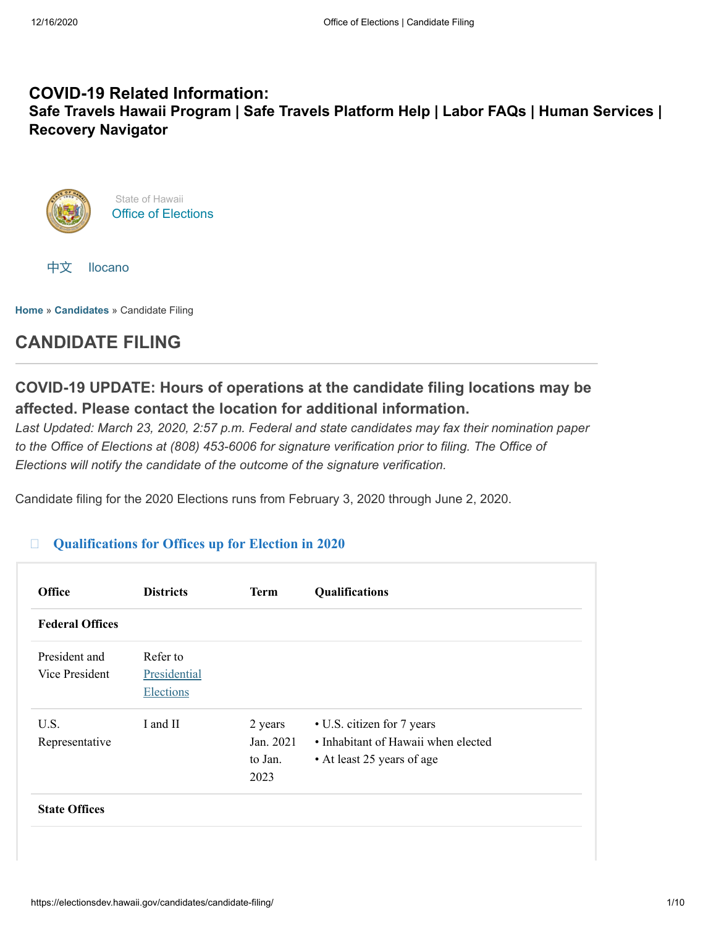# **COVID-19 Related Information: Safe Travels Hawaii [Program](https://hawaiicovid19.com/travel/faqs/) | Safe Travels [Platform](https://ets.hawaii.gov/travelhelp/) Help | [Labor](https://labor.hawaii.gov/covid-19-labor-faqs) FAQs | Human [Services](https://humanservices.hawaii.gov/) | Recovery [Navigator](https://recoverynavigator.hawaii.gov/)**





**[Home](https://electionsdev.hawaii.gov/)** » **[Candidates](https://electionsdev.hawaii.gov/?page_id=4730)** » Candidate Filing

# **CANDIDATE FILING**

# **COVID-19 UPDATE: Hours of operations at the candidate filing locations may be affected. Please contact the location for additional information.**

*Last Updated: March 23, 2020, 2:57 p.m. Federal and state candidates may fax their nomination paper to the Office of Elections at (808) 453-6006 for signature verification prior to filing. The Office of Elections will notify the candidate of the outcome of the signature verification.*

Candidate filing for the 2020 Elections runs from February 3, 2020 through June 2, 2020.

#### $\Box$ **[Qualifications for Offices up for Election in 2020](#page-0-0)**

<span id="page-0-0"></span>

| <b>Office</b>          | <b>Districts</b> | <b>Term</b> | <b>Qualifications</b>               |
|------------------------|------------------|-------------|-------------------------------------|
| <b>Federal Offices</b> |                  |             |                                     |
| President and          | Refer to         |             |                                     |
| Vice President         | Presidential     |             |                                     |
|                        | <b>Elections</b> |             |                                     |
| U.S.                   | I and II         | 2 years     | • U.S. citizen for 7 years          |
| Representative         |                  | Jan. 2021   | • Inhabitant of Hawaii when elected |
|                        |                  | to Jan.     | • At least 25 years of age          |
|                        |                  | 2023        |                                     |
| <b>State Offices</b>   |                  |             |                                     |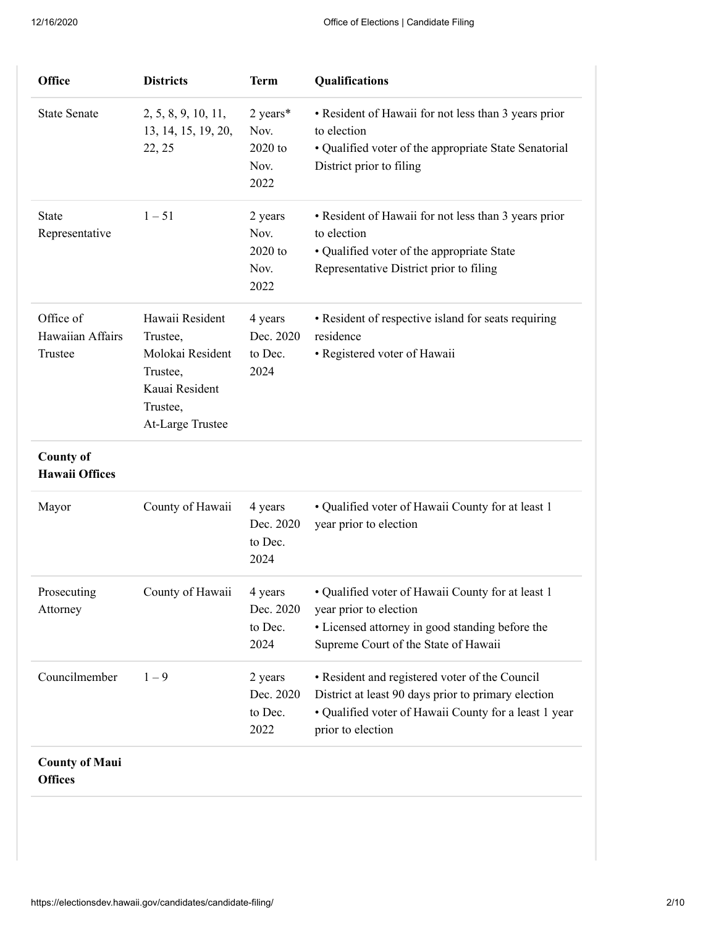| <b>Office</b>                             | <b>Districts</b>                                                                                              | <b>Term</b>                                 | Qualifications                                                                                                                                                                      |
|-------------------------------------------|---------------------------------------------------------------------------------------------------------------|---------------------------------------------|-------------------------------------------------------------------------------------------------------------------------------------------------------------------------------------|
| <b>State Senate</b>                       | 2, 5, 8, 9, 10, 11,<br>13, 14, 15, 19, 20,<br>22, 25                                                          | 2 years*<br>Nov.<br>2020 to<br>Nov.<br>2022 | • Resident of Hawaii for not less than 3 years prior<br>to election<br>• Qualified voter of the appropriate State Senatorial<br>District prior to filing                            |
| <b>State</b><br>Representative            | $1 - 51$                                                                                                      | 2 years<br>Nov.<br>2020 to<br>Nov.<br>2022  | • Resident of Hawaii for not less than 3 years prior<br>to election<br>• Qualified voter of the appropriate State<br>Representative District prior to filing                        |
| Office of<br>Hawaiian Affairs<br>Trustee  | Hawaii Resident<br>Trustee,<br>Molokai Resident<br>Trustee,<br>Kauai Resident<br>Trustee,<br>At-Large Trustee | 4 years<br>Dec. 2020<br>to Dec.<br>2024     | • Resident of respective island for seats requiring<br>residence<br>• Registered voter of Hawaii                                                                                    |
| <b>County of</b><br><b>Hawaii Offices</b> |                                                                                                               |                                             |                                                                                                                                                                                     |
| Mayor                                     | County of Hawaii                                                                                              | 4 years<br>Dec. 2020<br>to Dec.<br>2024     | • Qualified voter of Hawaii County for at least 1<br>year prior to election                                                                                                         |
| Prosecuting<br>Attorney                   | County of Hawaii                                                                                              | 4 years<br>Dec. 2020<br>to Dec.<br>2024     | · Qualified voter of Hawaii County for at least 1<br>year prior to election<br>• Licensed attorney in good standing before the<br>Supreme Court of the State of Hawaii              |
| Councilmember                             | $1 - 9$                                                                                                       | 2 years<br>Dec. 2020<br>to Dec.<br>2022     | • Resident and registered voter of the Council<br>District at least 90 days prior to primary election<br>• Qualified voter of Hawaii County for a least 1 year<br>prior to election |
| <b>County of Maui</b><br><b>Offices</b>   |                                                                                                               |                                             |                                                                                                                                                                                     |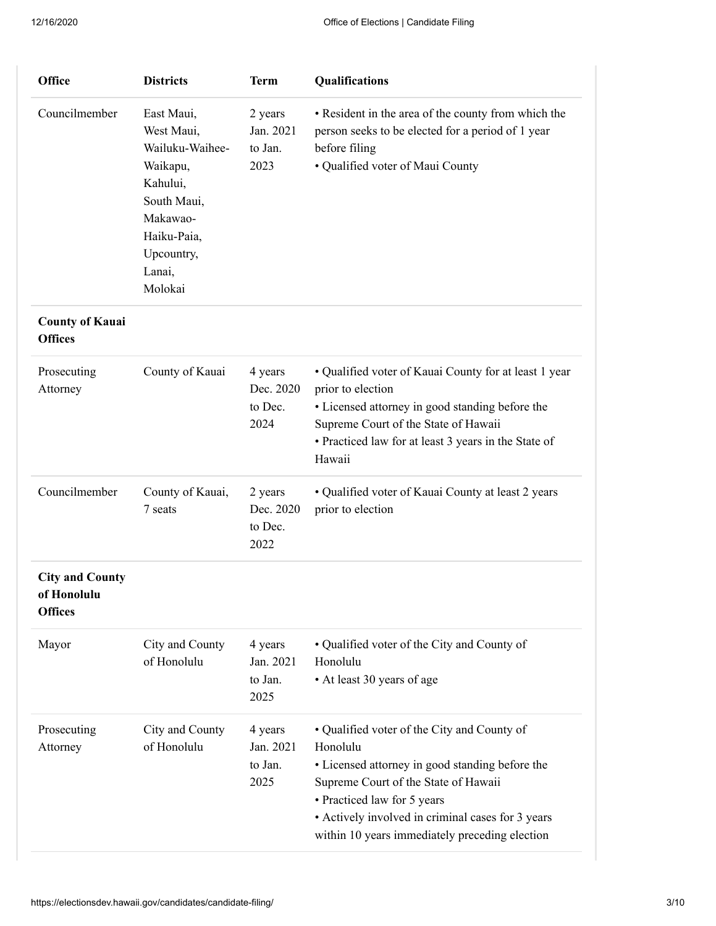| <b>Office</b>                                           | <b>Districts</b>                                                                                                                                 | <b>Term</b>                             | Qualifications                                                                                                                                                                                                                                                                           |
|---------------------------------------------------------|--------------------------------------------------------------------------------------------------------------------------------------------------|-----------------------------------------|------------------------------------------------------------------------------------------------------------------------------------------------------------------------------------------------------------------------------------------------------------------------------------------|
| Councilmember                                           | East Maui,<br>West Maui,<br>Wailuku-Waihee-<br>Waikapu,<br>Kahului,<br>South Maui,<br>Makawao-<br>Haiku-Paia,<br>Upcountry,<br>Lanai,<br>Molokai | 2 years<br>Jan. 2021<br>to Jan.<br>2023 | • Resident in the area of the county from which the<br>person seeks to be elected for a period of 1 year<br>before filing<br>· Qualified voter of Maui County                                                                                                                            |
| <b>County of Kauai</b><br><b>Offices</b>                |                                                                                                                                                  |                                         |                                                                                                                                                                                                                                                                                          |
| Prosecuting<br>Attorney                                 | County of Kauai                                                                                                                                  | 4 years<br>Dec. 2020<br>to Dec.<br>2024 | • Qualified voter of Kauai County for at least 1 year<br>prior to election<br>• Licensed attorney in good standing before the<br>Supreme Court of the State of Hawaii<br>• Practiced law for at least 3 years in the State of<br>Hawaii                                                  |
| Councilmember                                           | County of Kauai,<br>7 seats                                                                                                                      | 2 years<br>Dec. 2020<br>to Dec.<br>2022 | • Qualified voter of Kauai County at least 2 years<br>prior to election                                                                                                                                                                                                                  |
| <b>City and County</b><br>of Honolulu<br><b>Offices</b> |                                                                                                                                                  |                                         |                                                                                                                                                                                                                                                                                          |
| Mayor                                                   | City and County<br>of Honolulu                                                                                                                   | 4 years<br>Jan. 2021<br>to Jan.<br>2025 | • Qualified voter of the City and County of<br>Honolulu<br>• At least 30 years of age                                                                                                                                                                                                    |
| Prosecuting<br>Attorney                                 | City and County<br>of Honolulu                                                                                                                   | 4 years<br>Jan. 2021<br>to Jan.<br>2025 | • Qualified voter of the City and County of<br>Honolulu<br>• Licensed attorney in good standing before the<br>Supreme Court of the State of Hawaii<br>• Practiced law for 5 years<br>• Actively involved in criminal cases for 3 years<br>within 10 years immediately preceding election |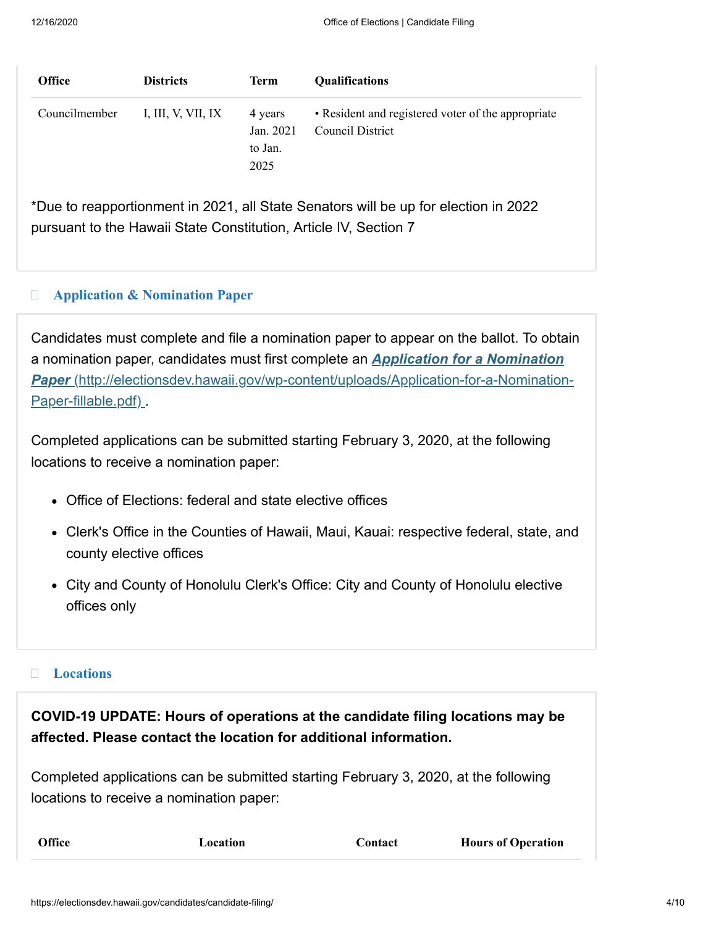| <b>Office</b> | <b>Districts</b>   | <b>Term</b>                             | <b>Qualifications</b>                                                  |
|---------------|--------------------|-----------------------------------------|------------------------------------------------------------------------|
| Councilmember | I, III, V, VII, IX | 4 years<br>Jan. 2021<br>to Jan.<br>2025 | • Resident and registered voter of the appropriate<br>Council District |

\*Due to reapportionment in 2021, all State Senators will be up for election in 2022 pursuant to the Hawaii State Constitution, Article IV, Section 7

#### $\Box$ **[Application & Nomination Paper](#page-3-0)**

<span id="page-3-0"></span>Candidates must complete and file a nomination paper to appear on the ballot. To obtain a nomination paper, candidates must first complete an *Application for a Nomination Paper* [\(http://electionsdev.hawaii.gov/wp-content/uploads/Application-for-a-Nomination-](http://electionsdev.hawaii.gov/wp-content/uploads/Application-for-a-Nomination-Paper-fillable.pdf)Paper-fillable.pdf)

Completed applications can be submitted starting February 3, 2020, at the following locations to receive a nomination paper:

- Office of Elections: federal and state elective offices
- Clerk's Office in the Counties of Hawaii, Maui, Kauai: respective federal, state, and county elective offices
- City and County of Honolulu Clerk's Office: City and County of Honolulu elective offices only

### **[Locations](#page-3-1)**

<span id="page-3-1"></span>**COVID-19 UPDATE: Hours of operations at the candidate filing locations may be affected. Please contact the location for additional information.**

Completed applications can be submitted starting February 3, 2020, at the following locations to receive a nomination paper: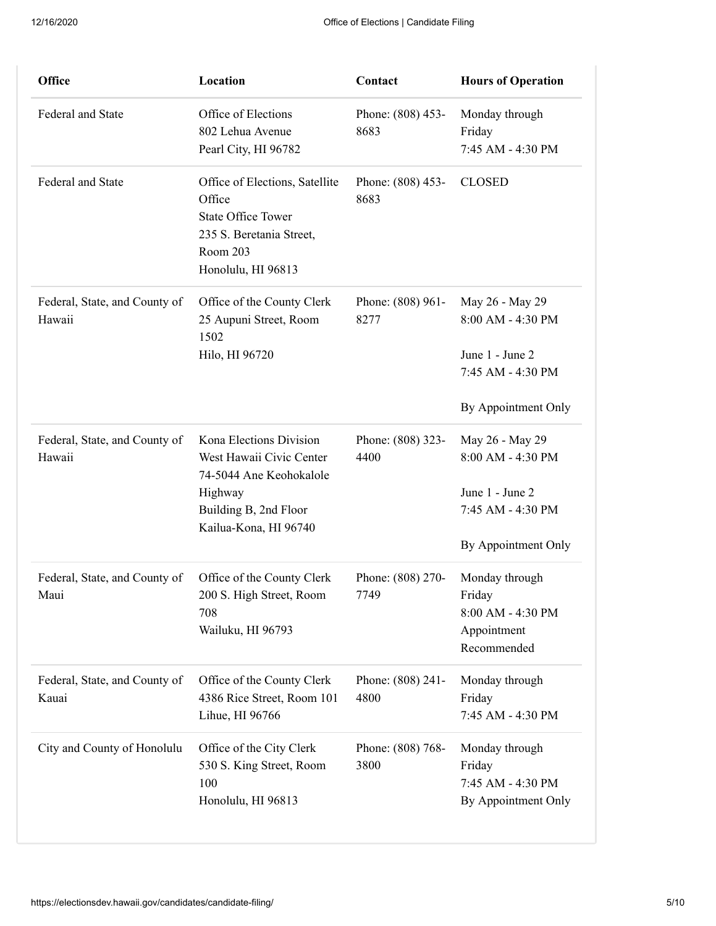| Office                                  | Location                                                                                                                            | Contact                   | <b>Hours of Operation</b>                                                    |
|-----------------------------------------|-------------------------------------------------------------------------------------------------------------------------------------|---------------------------|------------------------------------------------------------------------------|
| Federal and State                       | Office of Elections<br>802 Lehua Avenue<br>Pearl City, HI 96782                                                                     | Phone: (808) 453-<br>8683 | Monday through<br>Friday<br>7:45 AM - 4:30 PM                                |
| Federal and State                       | Office of Elections, Satellite<br>Office<br><b>State Office Tower</b><br>235 S. Beretania Street,<br>Room 203<br>Honolulu, HI 96813 | Phone: (808) 453-<br>8683 | <b>CLOSED</b>                                                                |
| Federal, State, and County of<br>Hawaii | Office of the County Clerk<br>25 Aupuni Street, Room<br>1502<br>Hilo, HI 96720                                                      | Phone: (808) 961-<br>8277 | May 26 - May 29<br>8:00 AM - 4:30 PM<br>June 1 - June 2<br>7:45 AM - 4:30 PM |
|                                         |                                                                                                                                     |                           | By Appointment Only                                                          |
| Federal, State, and County of<br>Hawaii | Kona Elections Division<br>West Hawaii Civic Center<br>74-5044 Ane Keohokalole<br>Highway<br>Building B, 2nd Floor                  | Phone: (808) 323-<br>4400 | May 26 - May 29<br>8:00 AM - 4:30 PM<br>June 1 - June 2<br>7:45 AM - 4:30 PM |
|                                         | Kailua-Kona, HI 96740                                                                                                               |                           | By Appointment Only                                                          |
| Federal, State, and County of<br>Maui   | Office of the County Clerk<br>200 S. High Street, Room<br>708<br>Wailuku, HI 96793                                                  | Phone: (808) 270-<br>7749 | Monday through<br>Friday<br>8:00 AM - 4:30 PM<br>Appointment<br>Recommended  |
| Federal, State, and County of<br>Kauai  | Office of the County Clerk<br>4386 Rice Street, Room 101<br>Lihue, HI 96766                                                         | Phone: (808) 241-<br>4800 | Monday through<br>Friday<br>7:45 AM - 4:30 PM                                |
| City and County of Honolulu             | Office of the City Clerk<br>530 S. King Street, Room<br>100<br>Honolulu, HI 96813                                                   | Phone: (808) 768-<br>3800 | Monday through<br>Friday<br>7:45 AM - 4:30 PM<br>By Appointment Only         |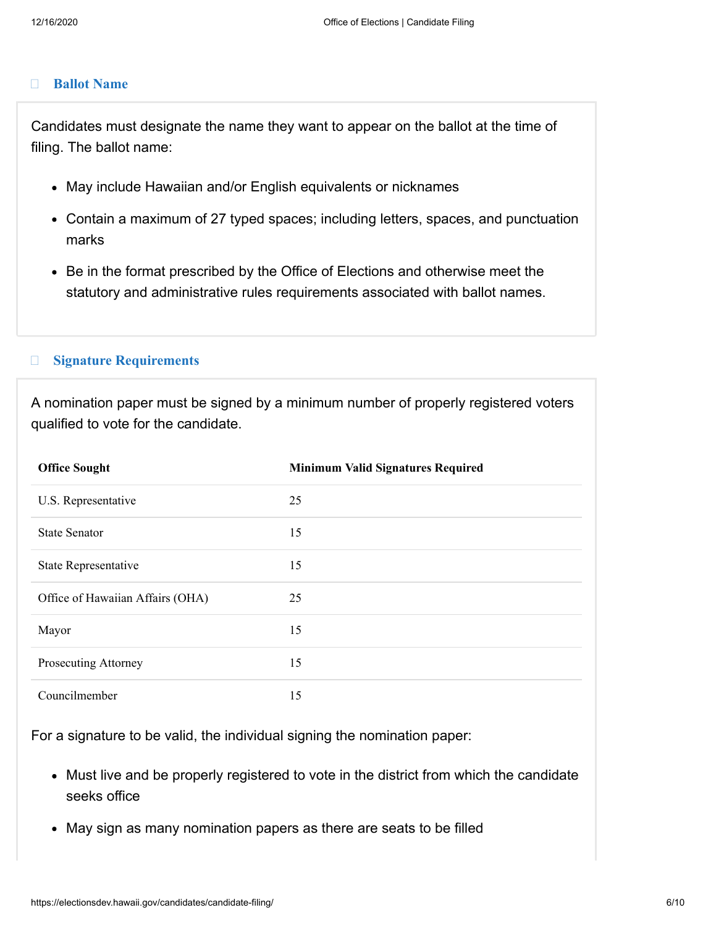#### $\Box$ **[Ballot Name](#page-5-0)**

<span id="page-5-0"></span>Candidates must designate the name they want to appear on the ballot at the time of filing. The ballot name:

- May include Hawaiian and/or English equivalents or nicknames
- Contain a maximum of 27 typed spaces; including letters, spaces, and punctuation marks
- Be in the format prescribed by the Office of Elections and otherwise meet the statutory and administrative rules requirements associated with ballot names.

#### $\Box$ **[Signature Requirements](#page-5-1)**

<span id="page-5-1"></span>A nomination paper must be signed by a minimum number of properly registered voters qualified to vote for the candidate.

| <b>Office Sought</b>             | <b>Minimum Valid Signatures Required</b> |
|----------------------------------|------------------------------------------|
| U.S. Representative              | 25                                       |
| <b>State Senator</b>             | 15                                       |
| State Representative             | 15                                       |
| Office of Hawaiian Affairs (OHA) | 25                                       |
| Mayor                            | 15                                       |
| Prosecuting Attorney             | 15                                       |
| Councilmember                    | 15                                       |

For a signature to be valid, the individual signing the nomination paper:

- Must live and be properly registered to vote in the district from which the candidate seeks office
- May sign as many nomination papers as there are seats to be filled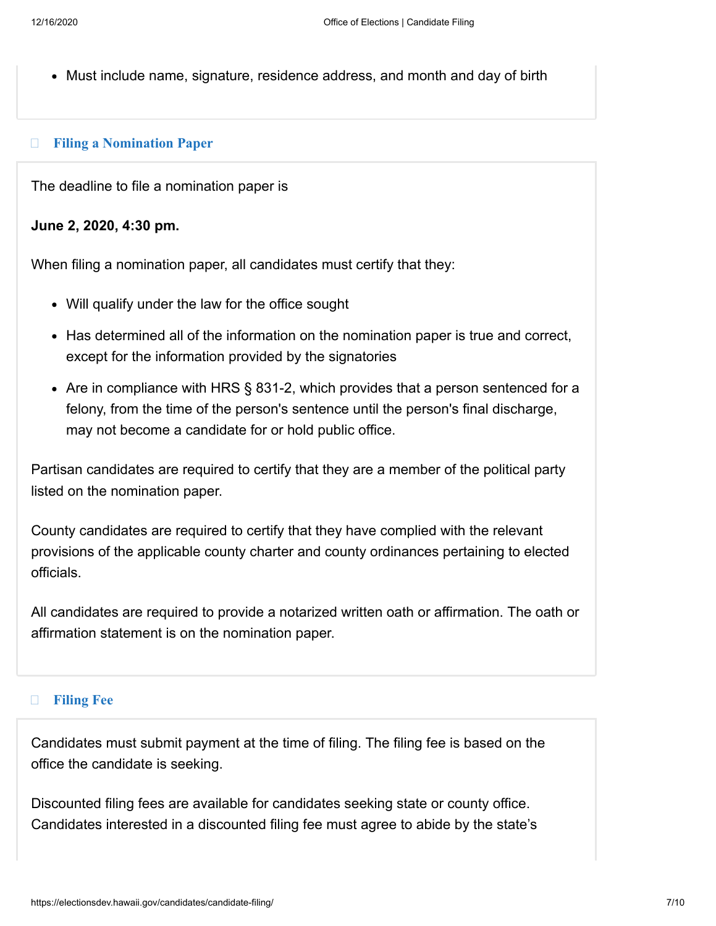Must include name, signature, residence address, and month and day of birth

#### $\Box$ **[Filing a Nomination Paper](#page-6-0)**

<span id="page-6-0"></span>The deadline to file a nomination paper is

### **June 2, 2020, 4:30 pm.**

When filing a nomination paper, all candidates must certify that they:

- Will qualify under the law for the office sought
- Has determined all of the information on the nomination paper is true and correct, except for the information provided by the signatories
- Are in compliance with HRS § 831-2, which provides that a person sentenced for a felony, from the time of the person's sentence until the person's final discharge, may not become a candidate for or hold public office.

Partisan candidates are required to certify that they are a member of the political party listed on the nomination paper.

County candidates are required to certify that they have complied with the relevant provisions of the applicable county charter and county ordinances pertaining to elected officials.

All candidates are required to provide a notarized written oath or affirmation. The oath or affirmation statement is on the nomination paper.

#### $\Box$ **[Filing Fee](#page-6-1)**

<span id="page-6-1"></span>Candidates must submit payment at the time of filing. The filing fee is based on the office the candidate is seeking.

Discounted filing fees are available for candidates seeking state or county office. Candidates interested in a discounted filing fee must agree to abide by the state's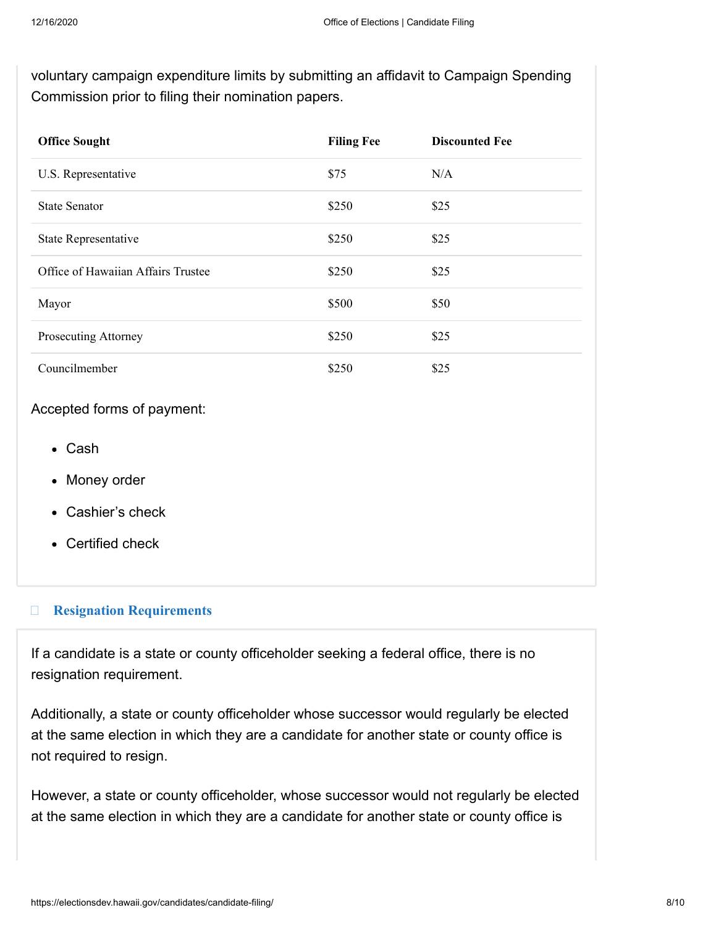voluntary campaign expenditure limits by submitting an affidavit to Campaign Spending Commission prior to filing their nomination papers.

| <b>Office Sought</b>               | <b>Filing Fee</b> | <b>Discounted Fee</b> |
|------------------------------------|-------------------|-----------------------|
| U.S. Representative                | \$75              | N/A                   |
| <b>State Senator</b>               | \$250             | \$25                  |
| State Representative               | \$250             | \$25                  |
| Office of Hawaiian Affairs Trustee | \$250             | \$25                  |
| Mayor                              | \$500             | \$50                  |
| Prosecuting Attorney               | \$250             | \$25                  |
| Councilmember                      | \$250             | \$25                  |

### Accepted forms of payment:

- Cash
- Money order
- Cashier's check
- Certified check

#### $\Box$ **[Resignation Requirements](#page-7-0)**

<span id="page-7-0"></span>If a candidate is a state or county officeholder seeking a federal office, there is no resignation requirement.

Additionally, a state or county officeholder whose successor would regularly be elected at the same election in which they are a candidate for another state or county office is not required to resign.

However, a state or county officeholder, whose successor would not regularly be elected at the same election in which they are a candidate for another state or county office is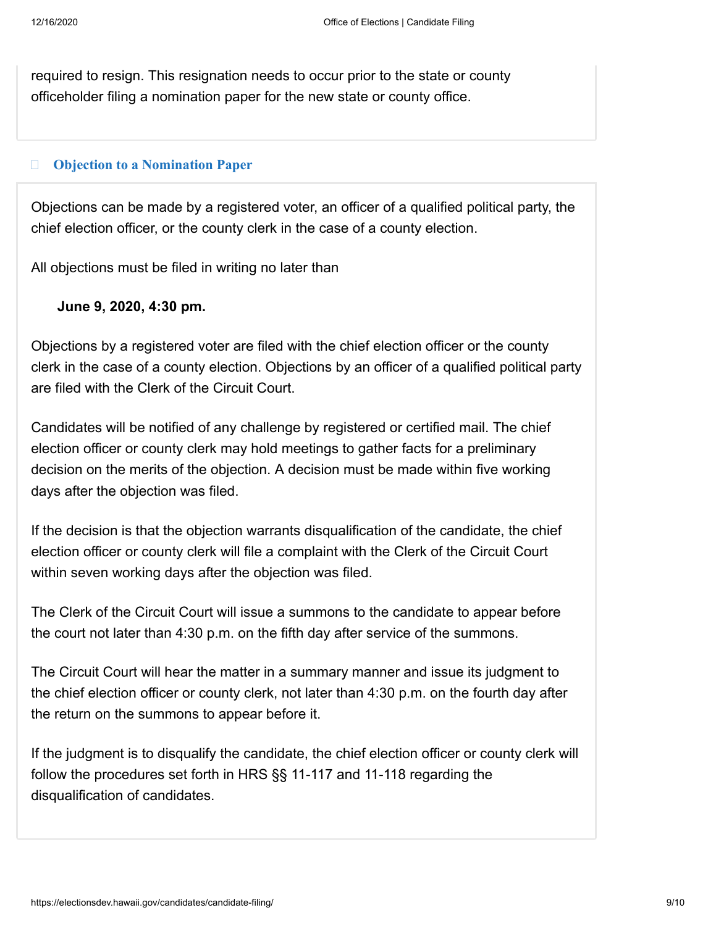required to resign. This resignation needs to occur prior to the state or county officeholder filing a nomination paper for the new state or county office.

#### $\Box$ **[Objection to a Nomination Paper](#page-8-0)**

<span id="page-8-0"></span>Objections can be made by a registered voter, an officer of a qualified political party, the chief election officer, or the county clerk in the case of a county election.

All objections must be filed in writing no later than

### **June 9, 2020, 4:30 pm.**

Objections by a registered voter are filed with the chief election officer or the county clerk in the case of a county election. Objections by an officer of a qualified political party are filed with the Clerk of the Circuit Court.

Candidates will be notified of any challenge by registered or certified mail. The chief election officer or county clerk may hold meetings to gather facts for a preliminary decision on the merits of the objection. A decision must be made within five working days after the objection was filed.

If the decision is that the objection warrants disqualification of the candidate, the chief election officer or county clerk will file a complaint with the Clerk of the Circuit Court within seven working days after the objection was filed.

The Clerk of the Circuit Court will issue a summons to the candidate to appear before the court not later than 4:30 p.m. on the fifth day after service of the summons.

The Circuit Court will hear the matter in a summary manner and issue its judgment to the chief election officer or county clerk, not later than 4:30 p.m. on the fourth day after the return on the summons to appear before it.

If the judgment is to disqualify the candidate, the chief election officer or county clerk will follow the procedures set forth in HRS §§ 11-117 and 11-118 regarding the disqualification of candidates.